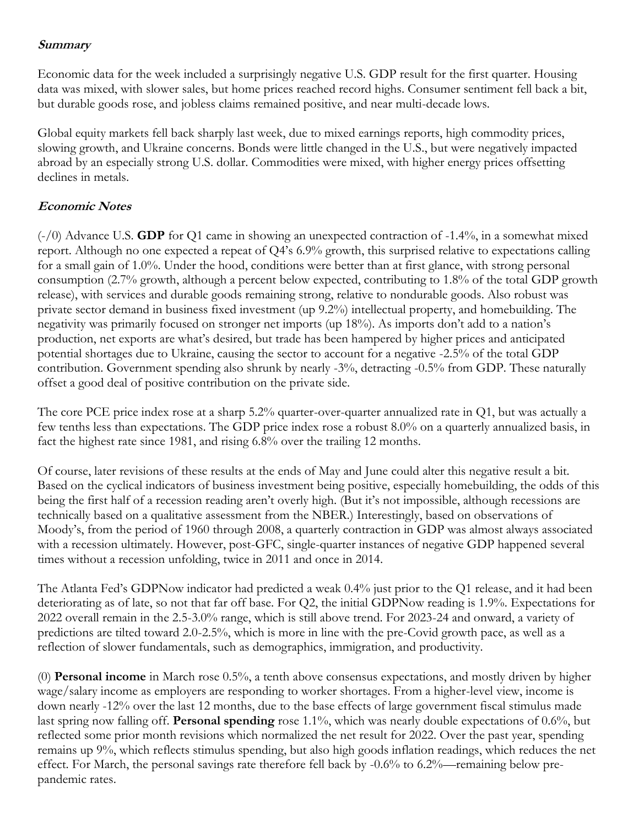## **Summary**

Economic data for the week included a surprisingly negative U.S. GDP result for the first quarter. Housing data was mixed, with slower sales, but home prices reached record highs. Consumer sentiment fell back a bit, but durable goods rose, and jobless claims remained positive, and near multi-decade lows.

Global equity markets fell back sharply last week, due to mixed earnings reports, high commodity prices, slowing growth, and Ukraine concerns. Bonds were little changed in the U.S., but were negatively impacted abroad by an especially strong U.S. dollar. Commodities were mixed, with higher energy prices offsetting declines in metals.

## **Economic Notes**

(-/0) Advance U.S. **GDP** for Q1 came in showing an unexpected contraction of -1.4%, in a somewhat mixed report. Although no one expected a repeat of Q4's 6.9% growth, this surprised relative to expectations calling for a small gain of 1.0%. Under the hood, conditions were better than at first glance, with strong personal consumption (2.7% growth, although a percent below expected, contributing to 1.8% of the total GDP growth release), with services and durable goods remaining strong, relative to nondurable goods. Also robust was private sector demand in business fixed investment (up 9.2%) intellectual property, and homebuilding. The negativity was primarily focused on stronger net imports (up 18%). As imports don't add to a nation's production, net exports are what's desired, but trade has been hampered by higher prices and anticipated potential shortages due to Ukraine, causing the sector to account for a negative -2.5% of the total GDP contribution. Government spending also shrunk by nearly -3%, detracting -0.5% from GDP. These naturally offset a good deal of positive contribution on the private side.

The core PCE price index rose at a sharp 5.2% quarter-over-quarter annualized rate in Q1, but was actually a few tenths less than expectations. The GDP price index rose a robust 8.0% on a quarterly annualized basis, in fact the highest rate since 1981, and rising 6.8% over the trailing 12 months.

Of course, later revisions of these results at the ends of May and June could alter this negative result a bit. Based on the cyclical indicators of business investment being positive, especially homebuilding, the odds of this being the first half of a recession reading aren't overly high. (But it's not impossible, although recessions are technically based on a qualitative assessment from the NBER.) Interestingly, based on observations of Moody's, from the period of 1960 through 2008, a quarterly contraction in GDP was almost always associated with a recession ultimately. However, post-GFC, single-quarter instances of negative GDP happened several times without a recession unfolding, twice in 2011 and once in 2014.

The Atlanta Fed's GDPNow indicator had predicted a weak 0.4% just prior to the Q1 release, and it had been deteriorating as of late, so not that far off base. For Q2, the initial GDPNow reading is 1.9%. Expectations for 2022 overall remain in the 2.5-3.0% range, which is still above trend. For 2023-24 and onward, a variety of predictions are tilted toward 2.0-2.5%, which is more in line with the pre-Covid growth pace, as well as a reflection of slower fundamentals, such as demographics, immigration, and productivity.

(0) **Personal income** in March rose 0.5%, a tenth above consensus expectations, and mostly driven by higher wage/salary income as employers are responding to worker shortages. From a higher-level view, income is down nearly -12% over the last 12 months, due to the base effects of large government fiscal stimulus made last spring now falling off. **Personal spending** rose 1.1%, which was nearly double expectations of 0.6%, but reflected some prior month revisions which normalized the net result for 2022. Over the past year, spending remains up 9%, which reflects stimulus spending, but also high goods inflation readings, which reduces the net effect. For March, the personal savings rate therefore fell back by -0.6% to 6.2%—remaining below prepandemic rates.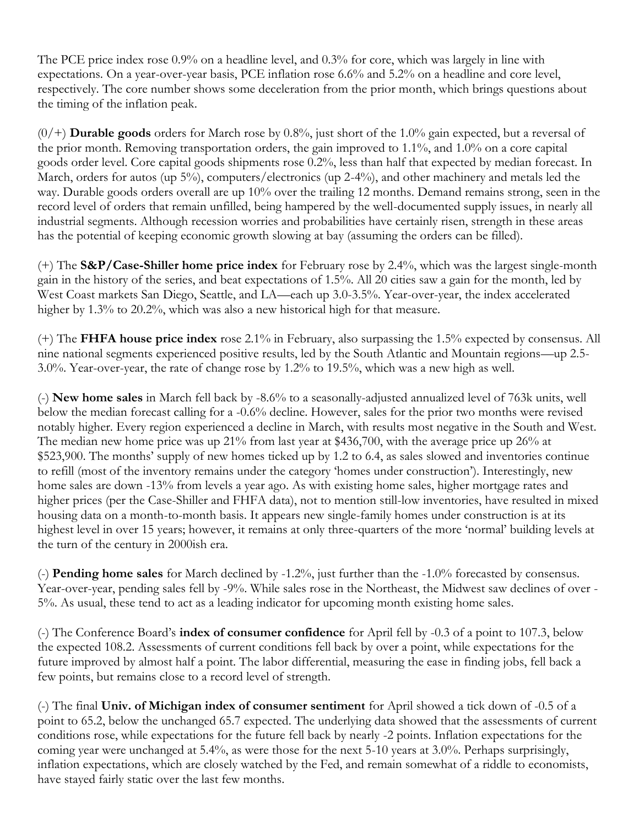The PCE price index rose 0.9% on a headline level, and 0.3% for core, which was largely in line with expectations. On a year-over-year basis, PCE inflation rose 6.6% and 5.2% on a headline and core level, respectively. The core number shows some deceleration from the prior month, which brings questions about the timing of the inflation peak.

(0/+) **Durable goods** orders for March rose by 0.8%, just short of the 1.0% gain expected, but a reversal of the prior month. Removing transportation orders, the gain improved to 1.1%, and 1.0% on a core capital goods order level. Core capital goods shipments rose 0.2%, less than half that expected by median forecast. In March, orders for autos (up 5%), computers/electronics (up 2-4%), and other machinery and metals led the way. Durable goods orders overall are up 10% over the trailing 12 months. Demand remains strong, seen in the record level of orders that remain unfilled, being hampered by the well-documented supply issues, in nearly all industrial segments. Although recession worries and probabilities have certainly risen, strength in these areas has the potential of keeping economic growth slowing at bay (assuming the orders can be filled).

(+) The **S&P/Case-Shiller home price index** for February rose by 2.4%, which was the largest single-month gain in the history of the series, and beat expectations of 1.5%. All 20 cities saw a gain for the month, led by West Coast markets San Diego, Seattle, and LA—each up 3.0-3.5%. Year-over-year, the index accelerated higher by 1.3% to 20.2%, which was also a new historical high for that measure.

(+) The **FHFA house price index** rose 2.1% in February, also surpassing the 1.5% expected by consensus. All nine national segments experienced positive results, led by the South Atlantic and Mountain regions—up 2.5- 3.0%. Year-over-year, the rate of change rose by 1.2% to 19.5%, which was a new high as well.

(-) **New home sales** in March fell back by -8.6% to a seasonally-adjusted annualized level of 763k units, well below the median forecast calling for a -0.6% decline. However, sales for the prior two months were revised notably higher. Every region experienced a decline in March, with results most negative in the South and West. The median new home price was up 21% from last year at \$436,700, with the average price up 26% at \$523,900. The months' supply of new homes ticked up by 1.2 to 6.4, as sales slowed and inventories continue to refill (most of the inventory remains under the category 'homes under construction'). Interestingly, new home sales are down -13% from levels a year ago. As with existing home sales, higher mortgage rates and higher prices (per the Case-Shiller and FHFA data), not to mention still-low inventories, have resulted in mixed housing data on a month-to-month basis. It appears new single-family homes under construction is at its highest level in over 15 years; however, it remains at only three-quarters of the more 'normal' building levels at the turn of the century in 2000ish era.

(-) **Pending home sales** for March declined by -1.2%, just further than the -1.0% forecasted by consensus. Year-over-year, pending sales fell by -9%. While sales rose in the Northeast, the Midwest saw declines of over - 5%. As usual, these tend to act as a leading indicator for upcoming month existing home sales.

(-) The Conference Board's **index of consumer confidence** for April fell by -0.3 of a point to 107.3, below the expected 108.2. Assessments of current conditions fell back by over a point, while expectations for the future improved by almost half a point. The labor differential, measuring the ease in finding jobs, fell back a few points, but remains close to a record level of strength.

(-) The final **Univ. of Michigan index of consumer sentiment** for April showed a tick down of -0.5 of a point to 65.2, below the unchanged 65.7 expected. The underlying data showed that the assessments of current conditions rose, while expectations for the future fell back by nearly -2 points. Inflation expectations for the coming year were unchanged at 5.4%, as were those for the next 5-10 years at 3.0%. Perhaps surprisingly, inflation expectations, which are closely watched by the Fed, and remain somewhat of a riddle to economists, have stayed fairly static over the last few months.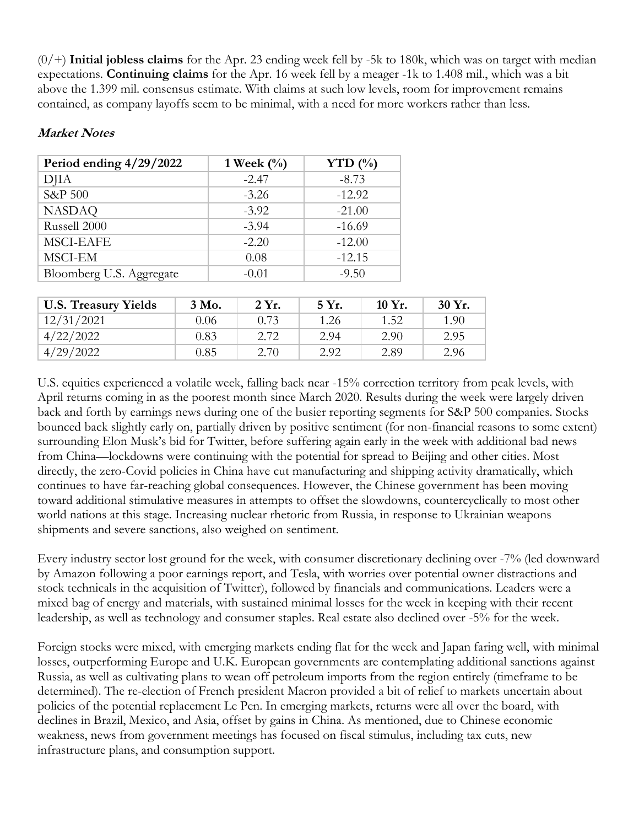(0/+) **Initial jobless claims** for the Apr. 23 ending week fell by -5k to 180k, which was on target with median expectations. **Continuing claims** for the Apr. 16 week fell by a meager -1k to 1.408 mil., which was a bit above the 1.399 mil. consensus estimate. With claims at such low levels, room for improvement remains contained, as company layoffs seem to be minimal, with a need for more workers rather than less.

| Period ending 4/29/2022  | 1 Week $\frac{0}{0}$ | YTD $(\% )$ |
|--------------------------|----------------------|-------------|
| <b>DJIA</b>              | $-2.47$              | $-8.73$     |
| S&P 500                  | $-3.26$              | $-12.92$    |
| <b>NASDAQ</b>            | $-3.92$              | $-21.00$    |
| Russell 2000             | $-3.94$              | $-16.69$    |
| <b>MSCI-EAFE</b>         | $-2.20$              | $-12.00$    |
| MSCI-EM                  | 0.08                 | $-12.15$    |
| Bloomberg U.S. Aggregate | $-0.01$              | $-9.50$     |

## **Market Notes**

| <b>U.S. Treasury Yields</b> | 3 Mo. | 2 Yr. | 5 Yr. | $10 Yr$ . | 30 Yr. |
|-----------------------------|-------|-------|-------|-----------|--------|
| 12/31/2021                  | 0.06  | 0.73  | 1.26  | 1.52      | 1.90   |
| 4/22/2022                   | 0.83  | 2.72  | 2.94  | 2.90      | 2.95   |
| 4/29/2022                   | 0.85  | 2.70  | 2.92  | 2.89      | 2.96   |

U.S. equities experienced a volatile week, falling back near -15% correction territory from peak levels, with April returns coming in as the poorest month since March 2020. Results during the week were largely driven back and forth by earnings news during one of the busier reporting segments for S&P 500 companies. Stocks bounced back slightly early on, partially driven by positive sentiment (for non-financial reasons to some extent) surrounding Elon Musk's bid for Twitter, before suffering again early in the week with additional bad news from China—lockdowns were continuing with the potential for spread to Beijing and other cities. Most directly, the zero-Covid policies in China have cut manufacturing and shipping activity dramatically, which continues to have far-reaching global consequences. However, the Chinese government has been moving toward additional stimulative measures in attempts to offset the slowdowns, countercyclically to most other world nations at this stage. Increasing nuclear rhetoric from Russia, in response to Ukrainian weapons shipments and severe sanctions, also weighed on sentiment.

Every industry sector lost ground for the week, with consumer discretionary declining over -7% (led downward by Amazon following a poor earnings report, and Tesla, with worries over potential owner distractions and stock technicals in the acquisition of Twitter), followed by financials and communications. Leaders were a mixed bag of energy and materials, with sustained minimal losses for the week in keeping with their recent leadership, as well as technology and consumer staples. Real estate also declined over -5% for the week.

Foreign stocks were mixed, with emerging markets ending flat for the week and Japan faring well, with minimal losses, outperforming Europe and U.K. European governments are contemplating additional sanctions against Russia, as well as cultivating plans to wean off petroleum imports from the region entirely (timeframe to be determined). The re-election of French president Macron provided a bit of relief to markets uncertain about policies of the potential replacement Le Pen. In emerging markets, returns were all over the board, with declines in Brazil, Mexico, and Asia, offset by gains in China. As mentioned, due to Chinese economic weakness, news from government meetings has focused on fiscal stimulus, including tax cuts, new infrastructure plans, and consumption support.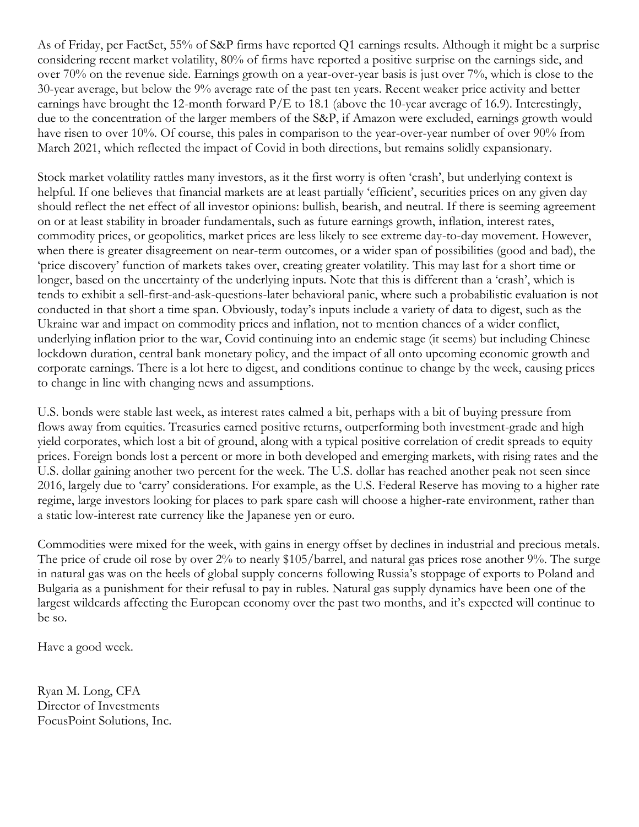As of Friday, per FactSet, 55% of S&P firms have reported Q1 earnings results. Although it might be a surprise considering recent market volatility, 80% of firms have reported a positive surprise on the earnings side, and over 70% on the revenue side. Earnings growth on a year-over-year basis is just over 7%, which is close to the 30-year average, but below the 9% average rate of the past ten years. Recent weaker price activity and better earnings have brought the 12-month forward P/E to 18.1 (above the 10-year average of 16.9). Interestingly, due to the concentration of the larger members of the S&P, if Amazon were excluded, earnings growth would have risen to over 10%. Of course, this pales in comparison to the year-over-year number of over 90% from March 2021, which reflected the impact of Covid in both directions, but remains solidly expansionary.

Stock market volatility rattles many investors, as it the first worry is often 'crash', but underlying context is helpful. If one believes that financial markets are at least partially 'efficient', securities prices on any given day should reflect the net effect of all investor opinions: bullish, bearish, and neutral. If there is seeming agreement on or at least stability in broader fundamentals, such as future earnings growth, inflation, interest rates, commodity prices, or geopolitics, market prices are less likely to see extreme day-to-day movement. However, when there is greater disagreement on near-term outcomes, or a wider span of possibilities (good and bad), the 'price discovery' function of markets takes over, creating greater volatility. This may last for a short time or longer, based on the uncertainty of the underlying inputs. Note that this is different than a 'crash', which is tends to exhibit a sell-first-and-ask-questions-later behavioral panic, where such a probabilistic evaluation is not conducted in that short a time span. Obviously, today's inputs include a variety of data to digest, such as the Ukraine war and impact on commodity prices and inflation, not to mention chances of a wider conflict, underlying inflation prior to the war, Covid continuing into an endemic stage (it seems) but including Chinese lockdown duration, central bank monetary policy, and the impact of all onto upcoming economic growth and corporate earnings. There is a lot here to digest, and conditions continue to change by the week, causing prices to change in line with changing news and assumptions.

U.S. bonds were stable last week, as interest rates calmed a bit, perhaps with a bit of buying pressure from flows away from equities. Treasuries earned positive returns, outperforming both investment-grade and high yield corporates, which lost a bit of ground, along with a typical positive correlation of credit spreads to equity prices. Foreign bonds lost a percent or more in both developed and emerging markets, with rising rates and the U.S. dollar gaining another two percent for the week. The U.S. dollar has reached another peak not seen since 2016, largely due to 'carry' considerations. For example, as the U.S. Federal Reserve has moving to a higher rate regime, large investors looking for places to park spare cash will choose a higher-rate environment, rather than a static low-interest rate currency like the Japanese yen or euro.

Commodities were mixed for the week, with gains in energy offset by declines in industrial and precious metals. The price of crude oil rose by over 2% to nearly \$105/barrel, and natural gas prices rose another 9%. The surge in natural gas was on the heels of global supply concerns following Russia's stoppage of exports to Poland and Bulgaria as a punishment for their refusal to pay in rubles. Natural gas supply dynamics have been one of the largest wildcards affecting the European economy over the past two months, and it's expected will continue to be so.

Have a good week.

Ryan M. Long, CFA Director of Investments FocusPoint Solutions, Inc.